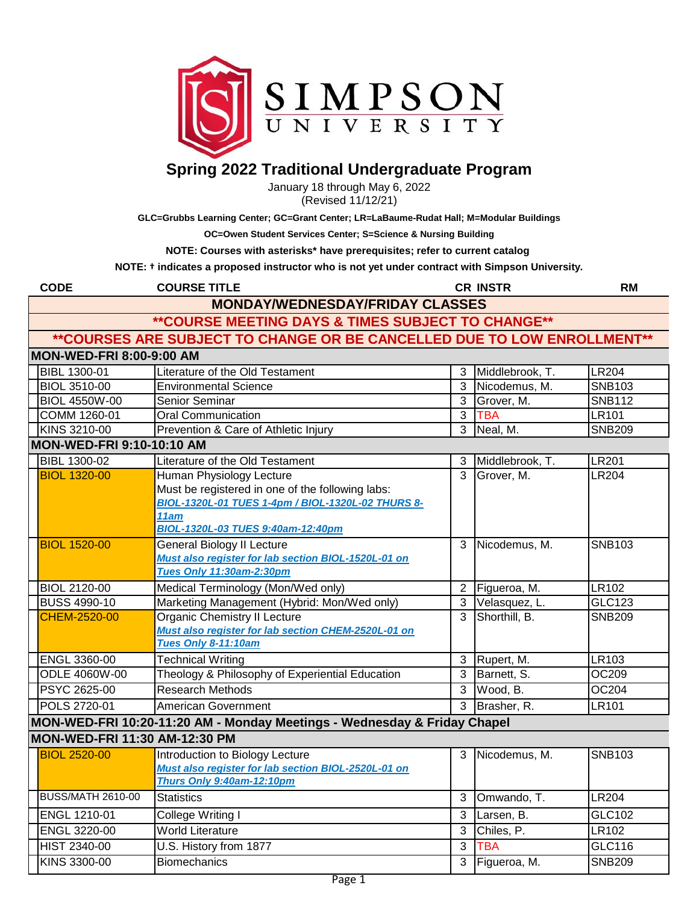

## **Spring 2022 Traditional Undergraduate Program**

January 18 through May 6, 2022 (Revised 11/12/21)

**GLC=Grubbs Learning Center; GC=Grant Center; LR=LaBaume-Rudat Hall; M=Modular Buildings**

**OC=Owen Student Services Center; S=Science & Nursing Building**

**NOTE: Courses with asterisks\* have prerequisites; refer to current catalog** 

**NOTE: † indicates a proposed instructor who is not yet under contract with Simpson University.** 

| <b>CODE</b>                     | <b>COURSE TITLE</b>                                                                                                                                                            |                | <b>CR INSTR</b> | <b>RM</b>     |
|---------------------------------|--------------------------------------------------------------------------------------------------------------------------------------------------------------------------------|----------------|-----------------|---------------|
|                                 | <b>MONDAY/WEDNESDAY/FRIDAY CLASSES</b>                                                                                                                                         |                |                 |               |
|                                 | ** COURSE MEETING DAYS & TIMES SUBJECT TO CHANGE**                                                                                                                             |                |                 |               |
|                                 | ** COURSES ARE SUBJECT TO CHANGE OR BE CANCELLED DUE TO LOW ENROLLMENT**                                                                                                       |                |                 |               |
| <b>MON-WED-FRI 8:00-9:00 AM</b> |                                                                                                                                                                                |                |                 |               |
| BIBL 1300-01                    | Literature of the Old Testament                                                                                                                                                | 3              | Middlebrook, T. | <b>LR204</b>  |
| <b>BIOL 3510-00</b>             | <b>Environmental Science</b>                                                                                                                                                   | 3              | Nicodemus, M.   | <b>SNB103</b> |
| <b>BIOL 4550W-00</b>            | Senior Seminar                                                                                                                                                                 | 3              | Grover, M.      | <b>SNB112</b> |
| COMM 1260-01                    | <b>Oral Communication</b>                                                                                                                                                      | $\overline{3}$ | <b>TBA</b>      | <b>LR101</b>  |
| KINS 3210-00                    | Prevention & Care of Athletic Injury                                                                                                                                           | $\overline{3}$ | Neal, M.        | <b>SNB209</b> |
| MON-WED-FRI 9:10-10:10 AM       |                                                                                                                                                                                |                |                 |               |
| <b>BIBL 1300-02</b>             | Literature of the Old Testament                                                                                                                                                | 3              | Middlebrook, T. | <b>LR201</b>  |
| <b>BIOL 1320-00</b>             | Human Physiology Lecture<br>Must be registered in one of the following labs:<br>BIOL-1320L-01 TUES 1-4pm / BIOL-1320L-02 THURS 8-<br>11am<br>BIOL-1320L-03 TUES 9:40am-12:40pm | 3              | Grover, M.      | <b>LR204</b>  |
| <b>BIOL 1520-00</b>             | <b>General Biology II Lecture</b><br>Must also register for lab section BIOL-1520L-01 on<br><b>Tues Only 11:30am-2:30pm</b>                                                    | 3              | Nicodemus, M.   | <b>SNB103</b> |
| <b>BIOL 2120-00</b>             | Medical Terminology (Mon/Wed only)                                                                                                                                             | $\overline{2}$ | Figueroa, M.    | LR102         |
| <b>BUSS 4990-10</b>             | Marketing Management (Hybrid: Mon/Wed only)                                                                                                                                    | $\overline{3}$ | Velasquez, L.   | GLC123        |
| <b>CHEM-2520-00</b>             | <b>Organic Chemistry II Lecture</b><br>Must also register for lab section CHEM-2520L-01 on<br>Tues Only 8-11:10am                                                              | $\overline{3}$ | Shorthill, B.   | <b>SNB209</b> |
| ENGL 3360-00                    | <b>Technical Writing</b>                                                                                                                                                       | 3              | Rupert, M.      | LR103         |
| ODLE 4060W-00                   | Theology & Philosophy of Experiential Education                                                                                                                                | 3              | Barnett, S.     | OC209         |
| PSYC 2625-00                    | <b>Research Methods</b>                                                                                                                                                        | 3              | Wood, B.        | OC204         |
| POLS 2720-01                    | <b>American Government</b>                                                                                                                                                     | $\overline{3}$ | Brasher, R.     | <b>LR101</b>  |
|                                 | MON-WED-FRI 10:20-11:20 AM - Monday Meetings - Wednesday & Friday Chapel                                                                                                       |                |                 |               |
| MON-WED-FRI 11:30 AM-12:30 PM   |                                                                                                                                                                                |                |                 |               |
| <b>BIOL 2520-00</b>             | Introduction to Biology Lecture<br>Must also register for lab section BIOL-2520L-01 on<br>Thurs Only 9:40am-12:10pm                                                            | 3              | Nicodemus, M.   | <b>SNB103</b> |
| <b>BUSS/MATH 2610-00</b>        | <b>Statistics</b>                                                                                                                                                              | 3              | Omwando, T.     | <b>LR204</b>  |
| ENGL 1210-01                    | College Writing I                                                                                                                                                              | 3              | Larsen, B.      | GLC102        |
| ENGL 3220-00                    | <b>World Literature</b>                                                                                                                                                        | 3              | Chiles, P.      | <b>LR102</b>  |
| HIST 2340-00                    | U.S. History from 1877                                                                                                                                                         | $\overline{3}$ | <b>TBA</b>      | GLC116        |
| KINS 3300-00                    | <b>Biomechanics</b>                                                                                                                                                            | 3              | Figueroa, M.    | <b>SNB209</b> |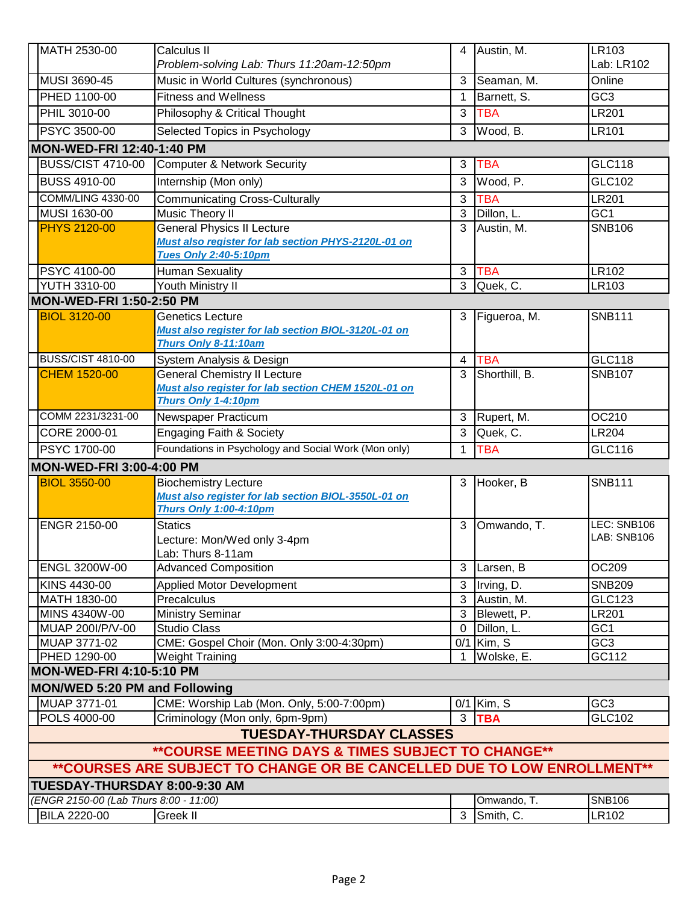| MATH 2530-00                                       | Calculus II                                                                                                              | 4              | Austin, M.    | LR103                      |  |  |  |
|----------------------------------------------------|--------------------------------------------------------------------------------------------------------------------------|----------------|---------------|----------------------------|--|--|--|
|                                                    | Problem-solving Lab: Thurs 11:20am-12:50pm                                                                               |                |               | Lab: LR102                 |  |  |  |
| MUSI 3690-45                                       | Music in World Cultures (synchronous)                                                                                    | 3              | Seaman, M.    | Online                     |  |  |  |
| PHED 1100-00                                       | <b>Fitness and Wellness</b>                                                                                              | 1              | Barnett, S.   | GC <sub>3</sub>            |  |  |  |
| PHIL 3010-00                                       | Philosophy & Critical Thought                                                                                            | 3              | <b>TBA</b>    | <b>LR201</b>               |  |  |  |
| <b>PSYC 3500-00</b>                                | Selected Topics in Psychology                                                                                            | 3              | Wood, B.      | <b>LR101</b>               |  |  |  |
| <b>MON-WED-FRI 12:40-1:40 PM</b>                   |                                                                                                                          |                |               |                            |  |  |  |
| <b>BUSS/CIST 4710-00</b>                           | <b>Computer &amp; Network Security</b>                                                                                   | 3              | <b>TBA</b>    | <b>GLC118</b>              |  |  |  |
|                                                    |                                                                                                                          |                |               |                            |  |  |  |
| <b>BUSS 4910-00</b>                                | Internship (Mon only)                                                                                                    | 3              | Wood, P.      | GLC102                     |  |  |  |
| <b>COMM/LING 4330-00</b>                           | <b>Communicating Cross-Culturally</b>                                                                                    | 3              | <b>TBA</b>    | <b>LR201</b>               |  |  |  |
| MUSI 1630-00                                       | Music Theory II                                                                                                          | 3              | Dillon, L.    | GC <sub>1</sub>            |  |  |  |
| <b>PHYS 2120-00</b>                                | <b>General Physics II Lecture</b><br>Must also register for lab section PHYS-2120L-01 on<br><b>Tues Only 2:40-5:10pm</b> | 3              | Austin, M.    | <b>SNB106</b>              |  |  |  |
| PSYC 4100-00                                       | <b>Human Sexuality</b>                                                                                                   | 3              | <b>TBA</b>    | LR102                      |  |  |  |
| <b>YUTH 3310-00</b>                                | Youth Ministry II                                                                                                        | $\overline{3}$ | Quek, C.      | LR103                      |  |  |  |
| <b>MON-WED-FRI 1:50-2:50 PM</b>                    |                                                                                                                          |                |               |                            |  |  |  |
| <b>BIOL 3120-00</b>                                | <b>Genetics Lecture</b><br>Must also register for lab section BIOL-3120L-01 on<br>Thurs Only 8-11:10am                   | 3              | Figueroa, M.  | <b>SNB111</b>              |  |  |  |
| <b>BUSS/CIST 4810-00</b>                           | System Analysis & Design                                                                                                 | $\overline{4}$ | <b>TBA</b>    | <b>GLC118</b>              |  |  |  |
| <b>CHEM 1520-00</b>                                | <b>General Chemistry II Lecture</b><br>Must also register for lab section CHEM 1520L-01 on<br>Thurs Only 1-4:10pm        | 3              | Shorthill, B. | <b>SNB107</b>              |  |  |  |
| COMM 2231/3231-00                                  | Newspaper Practicum                                                                                                      | 3              | Rupert, M.    | OC210                      |  |  |  |
| CORE 2000-01                                       | <b>Engaging Faith &amp; Society</b>                                                                                      | 3              | Quek, C.      | <b>LR204</b>               |  |  |  |
| PSYC 1700-00                                       | Foundations in Psychology and Social Work (Mon only)                                                                     | 1              | <b>TBA</b>    | <b>GLC116</b>              |  |  |  |
|                                                    | <b>MON-WED-FRI 3:00-4:00 PM</b>                                                                                          |                |               |                            |  |  |  |
| <b>BIOL 3550-00</b>                                | <b>Biochemistry Lecture</b>                                                                                              | 3              | Hooker, B     | <b>SNB111</b>              |  |  |  |
|                                                    | Must also register for lab section BIOL-3550L-01 on                                                                      |                |               |                            |  |  |  |
|                                                    | <b>Thurs Only 1:00-4:10pm</b>                                                                                            |                |               |                            |  |  |  |
| ENGR 2150-00                                       | <b>Statics</b><br>Lecture: Mon/Wed only 3-4pm<br>Lab: Thurs 8-11am                                                       | 3              | Omwando, T.   | LEC: SNB106<br>LAB: SNB106 |  |  |  |
| ENGL 3200W-00                                      | <b>Advanced Composition</b>                                                                                              |                | 3 Larsen, B   | OC209                      |  |  |  |
| KINS 4430-00                                       | <b>Applied Motor Development</b>                                                                                         | $\mathbf{3}$   | Irving, D.    | <b>SNB209</b>              |  |  |  |
| MATH 1830-00                                       | Precalculus                                                                                                              |                | 3 Austin, M.  | <b>GLC123</b>              |  |  |  |
| MINS 4340W-00                                      | <b>Ministry Seminar</b>                                                                                                  |                | 3 Blewett, P. | <b>LR201</b>               |  |  |  |
| MUAP 200I/P/V-00                                   | Studio Class                                                                                                             | $\mathbf 0$    | Dillon, L.    | GC <sub>1</sub>            |  |  |  |
| MUAP 3771-02                                       | CME: Gospel Choir (Mon. Only 3:00-4:30pm)                                                                                |                | $0/1$ Kim, S  | GC3                        |  |  |  |
| PHED 1290-00                                       | <b>Weight Training</b>                                                                                                   | -1             | Wolske, E.    | GC112                      |  |  |  |
| <b>MON-WED-FRI 4:10-5:10 PM</b>                    |                                                                                                                          |                |               |                            |  |  |  |
| <b>MON/WED 5:20 PM and Following</b>               |                                                                                                                          |                |               |                            |  |  |  |
| MUAP 3771-01                                       | CME: Worship Lab (Mon. Only, 5:00-7:00pm)                                                                                |                | $0/1$ Kim, S  | GC <sub>3</sub>            |  |  |  |
| POLS 4000-00                                       | Criminology (Mon only, 6pm-9pm)                                                                                          | $\mathbf{3}$   | <b>TBA</b>    | GLC102                     |  |  |  |
| <b>TUESDAY-THURSDAY CLASSES</b>                    |                                                                                                                          |                |               |                            |  |  |  |
| ** COURSE MEETING DAYS & TIMES SUBJECT TO CHANGE** |                                                                                                                          |                |               |                            |  |  |  |
|                                                    | ** COURSES ARE SUBJECT TO CHANGE OR BE CANCELLED DUE TO LOW ENROLLMENT**                                                 |                |               |                            |  |  |  |
| TUESDAY-THURSDAY 8:00-9:30 AM                      |                                                                                                                          |                |               |                            |  |  |  |
| (ENGR 2150-00 (Lab Thurs 8:00 - 11:00)             |                                                                                                                          |                | Omwando, T.   | <b>SNB106</b>              |  |  |  |
| <b>BILA 2220-00</b>                                | <b>Greek II</b>                                                                                                          |                | 3 Smith, C.   | LR102                      |  |  |  |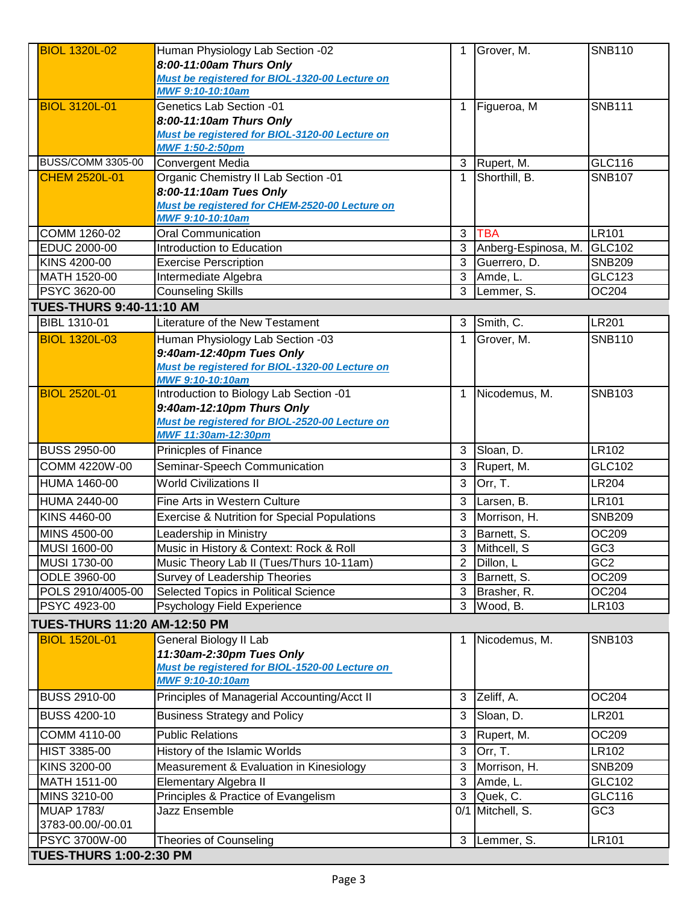| <b>BIOL 1320L-02</b>                   | Human Physiology Lab Section -02                                             | 1            | Grover, M.              | <b>SNB110</b>   |
|----------------------------------------|------------------------------------------------------------------------------|--------------|-------------------------|-----------------|
|                                        | 8:00-11:00am Thurs Only                                                      |              |                         |                 |
|                                        | Must be registered for BIOL-1320-00 Lecture on                               |              |                         |                 |
|                                        | <b>MWF 9:10-10:10am</b>                                                      |              |                         |                 |
| <b>BIOL 3120L-01</b>                   | <b>Genetics Lab Section -01</b>                                              | $\mathbf{1}$ | Figueroa, M             | <b>SNB111</b>   |
|                                        | 8:00-11:10am Thurs Only                                                      |              |                         |                 |
|                                        | Must be registered for BIOL-3120-00 Lecture on                               |              |                         |                 |
|                                        | <b>MWF 1:50-2:50pm</b>                                                       |              |                         |                 |
| <b>BUSS/COMM 3305-00</b>               | <b>Convergent Media</b>                                                      |              | 3 Rupert, M.            | GLC116          |
| <b>CHEM 2520L-01</b>                   | Organic Chemistry II Lab Section -01                                         | $\mathbf{1}$ | Shorthill, B.           | <b>SNB107</b>   |
|                                        | 8:00-11:10am Tues Only<br>Must be registered for CHEM-2520-00 Lecture on     |              |                         |                 |
|                                        | MWF 9:10-10:10am                                                             |              |                         |                 |
| COMM 1260-02                           | <b>Oral Communication</b>                                                    | 3            | <b>TBA</b>              | <b>LR101</b>    |
| EDUC 2000-00                           | Introduction to Education                                                    | 3            | Anberg-Espinosa, M.     | GLC102          |
| KINS 4200-00                           | <b>Exercise Perscription</b>                                                 | 3            | Guerrero, D.            | <b>SNB209</b>   |
| MATH 1520-00                           | Intermediate Algebra                                                         | 3            | Amde, L.                | GLC123          |
| PSYC 3620-00                           | <b>Counseling Skills</b>                                                     | 3            | Lemmer, S.              | OC204           |
| <b>TUES-THURS 9:40-11:10 AM</b>        |                                                                              |              |                         |                 |
| BIBL 1310-01                           | Literature of the New Testament                                              | 3            | Smith, C.               | <b>LR201</b>    |
| <b>BIOL 1320L-03</b>                   | Human Physiology Lab Section -03                                             | $\mathbf{1}$ | Grover, M.              | <b>SNB110</b>   |
|                                        | 9:40am-12:40pm Tues Only                                                     |              |                         |                 |
|                                        | Must be registered for BIOL-1320-00 Lecture on                               |              |                         |                 |
|                                        | <b>MWF 9:10-10:10am</b>                                                      |              |                         |                 |
| <b>BIOL 2520L-01</b>                   | Introduction to Biology Lab Section -01                                      | $\mathbf{1}$ | Nicodemus, M.           | <b>SNB103</b>   |
|                                        | 9:40am-12:10pm Thurs Only                                                    |              |                         |                 |
|                                        | Must be registered for BIOL-2520-00 Lecture on<br><b>MWF 11:30am-12:30pm</b> |              |                         |                 |
| <b>BUSS 2950-00</b>                    | <b>Prinicples of Finance</b>                                                 | 3            | Sloan, D.               | LR102           |
| COMM 4220W-00                          | Seminar-Speech Communication                                                 | 3            | Rupert, M.              | GLC102          |
| HUMA 1460-00                           | <b>World Civilizations II</b>                                                |              | Orr, T.                 | <b>LR204</b>    |
|                                        |                                                                              | 3            |                         |                 |
| HUMA 2440-00                           | Fine Arts in Western Culture                                                 | 3            | Larsen, B.              | LR101           |
| KINS 4460-00                           | <b>Exercise &amp; Nutrition for Special Populations</b>                      | 3            | Morrison, H.            | <b>SNB209</b>   |
| MINS 4500-00                           | Leadership in Ministry                                                       | 3            | Barnett, S.             | OC209           |
| MUSI 1600-00                           | Music in History & Context: Rock & Roll                                      |              | 3 Mithcell, S           | GC <sub>3</sub> |
| MUSI 1730-00                           | Music Theory Lab II (Tues/Thurs 10-11am)                                     | 2            | Dillon, L               | GC <sub>2</sub> |
| ODLE 3960-00                           | Survey of Leadership Theories                                                | 3            | Barnett, S.             | OC209           |
| POLS 2910/4005-00<br>PSYC 4923-00      | Selected Topics in Political Science<br>Psychology Field Experience          | 3<br>3       | Brasher, R.<br>Wood, B. | OC204           |
|                                        |                                                                              |              |                         | LR103           |
| <b>TUES-THURS 11:20 AM-12:50 PM</b>    |                                                                              |              |                         |                 |
| <b>BIOL 1520L-01</b>                   | General Biology II Lab                                                       | 1            | Nicodemus, M.           | <b>SNB103</b>   |
|                                        | 11:30am-2:30pm Tues Only<br>Must be registered for BIOL-1520-00 Lecture on   |              |                         |                 |
|                                        | <b>MWF 9:10-10:10am</b>                                                      |              |                         |                 |
| <b>BUSS 2910-00</b>                    | Principles of Managerial Accounting/Acct II                                  | 3            | Zeliff, A.              | OC204           |
| <b>BUSS 4200-10</b>                    | <b>Business Strategy and Policy</b>                                          | 3            | Sloan, D.               | LR201           |
|                                        |                                                                              |              |                         |                 |
| COMM 4110-00                           | <b>Public Relations</b>                                                      | 3            | Rupert, M.              | OC209           |
| HIST 3385-00                           | History of the Islamic Worlds                                                | $\mathbf{3}$ | Orr, T.                 | LR102           |
| KINS 3200-00                           | Measurement & Evaluation in Kinesiology                                      | 3            | Morrison, H.            | <b>SNB209</b>   |
| MATH 1511-00                           | Elementary Algebra II                                                        | 3            | Amde, L.                | GLC102          |
| MINS 3210-00                           | Principles & Practice of Evangelism                                          | 3            | Quek, C.                | GLC116          |
| <b>MUAP 1783/</b><br>3783-00.00/-00.01 | Jazz Ensemble                                                                |              | 0/1 Mitchell, S.        | GC <sub>3</sub> |
| PSYC 3700W-00                          |                                                                              |              |                         | LR101           |
| <b>TUES-THURS 1:00-2:30 PM</b>         | <b>Theories of Counseling</b>                                                |              | 3 Lemmer, S.            |                 |
|                                        |                                                                              |              |                         |                 |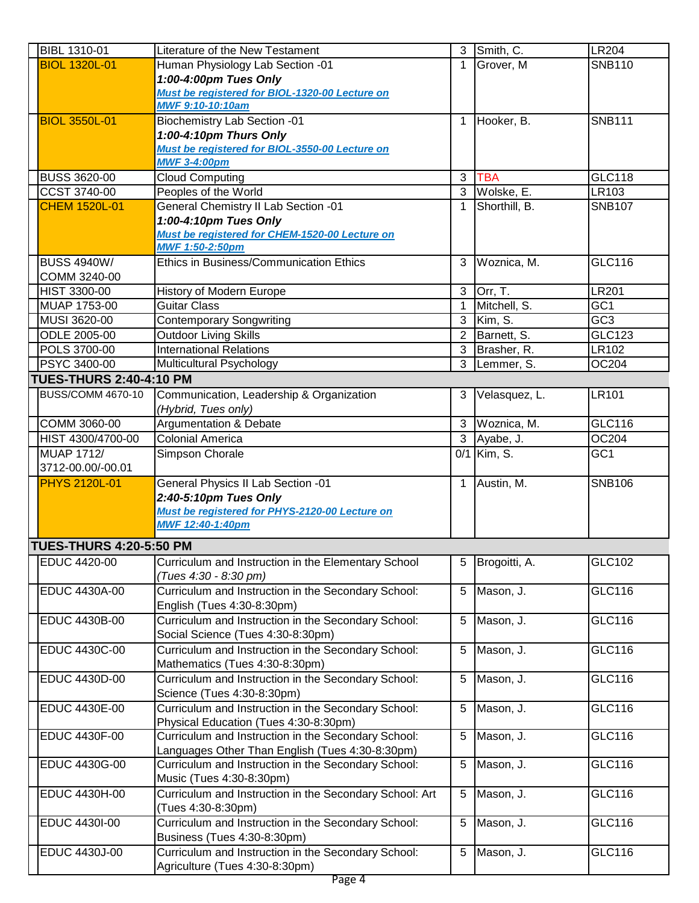| BIBL 1310-01                   | Literature of the New Testament                                                                        | 3            | Smith, C.                | <b>LR204</b>    |
|--------------------------------|--------------------------------------------------------------------------------------------------------|--------------|--------------------------|-----------------|
| <b>BIOL 1320L-01</b>           | Human Physiology Lab Section -01                                                                       | 1            | Grover, M                | <b>SNB110</b>   |
|                                | 1:00-4:00pm Tues Only                                                                                  |              |                          |                 |
|                                | Must be registered for BIOL-1320-00 Lecture on                                                         |              |                          |                 |
|                                | MWF 9:10-10:10am                                                                                       |              |                          |                 |
| <b>BIOL 3550L-01</b>           | <b>Biochemistry Lab Section -01</b>                                                                    | $\mathbf{1}$ | Hooker, B.               | <b>SNB111</b>   |
|                                | 1:00-4:10pm Thurs Only                                                                                 |              |                          |                 |
|                                | Must be registered for BIOL-3550-00 Lecture on                                                         |              |                          |                 |
|                                | <b>MWF 3-4:00pm</b>                                                                                    |              |                          |                 |
| <b>BUSS 3620-00</b>            | <b>Cloud Computing</b>                                                                                 | 3            | <b>TBA</b>               | <b>GLC118</b>   |
| <b>CCST 3740-00</b>            | Peoples of the World                                                                                   |              | 3 Wolske, E.             | LR103           |
| <b>CHEM 1520L-01</b>           | General Chemistry II Lab Section -01                                                                   | $\mathbf{1}$ | Shorthill, B.            | <b>SNB107</b>   |
|                                | 1:00-4:10pm Tues Only                                                                                  |              |                          |                 |
|                                | Must be registered for CHEM-1520-00 Lecture on                                                         |              |                          |                 |
|                                | <b>MWF 1:50-2:50pm</b>                                                                                 |              |                          |                 |
| <b>BUSS 4940W/</b>             | <b>Ethics in Business/Communication Ethics</b>                                                         | 3            | Woznica, M.              | GLC116          |
| COMM 3240-00                   |                                                                                                        |              |                          |                 |
| <b>HIST 3300-00</b>            | History of Modern Europe                                                                               | 3            | Orr, T.                  | <b>LR201</b>    |
| MUAP 1753-00                   | <b>Guitar Class</b>                                                                                    | $\mathbf 1$  | Mitchell, S.             | GC1             |
| MUSI 3620-00                   | <b>Contemporary Songwriting</b>                                                                        |              | $\overline{3}$ Kim, S.   | GC <sub>3</sub> |
| ODLE 2005-00                   | <b>Outdoor Living Skills</b>                                                                           | 2            | Barnett, S.              | <b>GLC123</b>   |
| <b>POLS 3700-00</b>            | <b>International Relations</b>                                                                         | 3            | Brasher, R.              | LR102           |
| <b>PSYC 3400-00</b>            | <b>Multicultural Psychology</b>                                                                        |              | 3 Lemmer, S.             | OC204           |
| <b>TUES-THURS 2:40-4:10 PM</b> |                                                                                                        |              |                          |                 |
| <b>BUSS/COMM 4670-10</b>       | Communication, Leadership & Organization                                                               | 3            | Velasquez, L.            | LR101           |
|                                | (Hybrid, Tues only)                                                                                    |              |                          |                 |
| COMM 3060-00                   | <b>Argumentation &amp; Debate</b>                                                                      |              | 3 Woznica, M.            | <b>GLC116</b>   |
| HIST 4300/4700-00              | <b>Colonial America</b>                                                                                |              | 3 Ayabe, J.              | OC204           |
| <b>MUAP 1712/</b>              | Simpson Chorale                                                                                        |              | $\overline{0/1}$ Kim, S. | GC <sub>1</sub> |
| 3712-00.00/-00.01              |                                                                                                        |              |                          |                 |
| <b>PHYS 2120L-01</b>           | General Physics II Lab Section -01                                                                     |              | 1 Austin, M.             | <b>SNB106</b>   |
|                                | 2:40-5:10pm Tues Only                                                                                  |              |                          |                 |
|                                | Must be registered for PHYS-2120-00 Lecture on                                                         |              |                          |                 |
|                                | MWF 12:40-1:40pm                                                                                       |              |                          |                 |
| <b>TUES-THURS 4:20-5:50 PM</b> |                                                                                                        |              |                          |                 |
| EDUC 4420-00                   | Curriculum and Instruction in the Elementary School                                                    | 5            | Brogoitti, A.            | GLC102          |
|                                | (Tues 4:30 - 8:30 pm)                                                                                  |              |                          |                 |
| <b>EDUC 4430A-00</b>           | Curriculum and Instruction in the Secondary School:                                                    | 5            | Mason, J.                | GLC116          |
|                                | English (Tues 4:30-8:30pm)                                                                             |              |                          |                 |
| EDUC 4430B-00                  | Curriculum and Instruction in the Secondary School:                                                    | 5            | Mason, J.                | GLC116          |
|                                | Social Science (Tues 4:30-8:30pm)                                                                      |              |                          |                 |
| EDUC 4430C-00                  | Curriculum and Instruction in the Secondary School:                                                    | 5            | Mason, J.                | GLC116          |
|                                | Mathematics (Tues 4:30-8:30pm)                                                                         |              |                          |                 |
|                                |                                                                                                        |              |                          |                 |
| EDUC 4430D-00                  | Curriculum and Instruction in the Secondary School:                                                    | 5            | Mason, J.                | GLC116          |
|                                | Science (Tues 4:30-8:30pm)                                                                             |              |                          |                 |
| EDUC 4430E-00                  | Curriculum and Instruction in the Secondary School:                                                    | 5            | Mason, J.                | GLC116          |
|                                | Physical Education (Tues 4:30-8:30pm)                                                                  |              |                          |                 |
| EDUC 4430F-00                  | Curriculum and Instruction in the Secondary School:                                                    | 5            | Mason, J.                | GLC116          |
| EDUC 4430G-00                  | Languages Other Than English (Tues 4:30-8:30pm)<br>Curriculum and Instruction in the Secondary School: | 5            | Mason, J.                | GLC116          |
|                                | Music (Tues 4:30-8:30pm)                                                                               |              |                          |                 |
| EDUC 4430H-00                  | Curriculum and Instruction in the Secondary School: Art                                                | 5            | Mason, J.                | GLC116          |
|                                | (Tues 4:30-8:30pm)                                                                                     |              |                          |                 |
| EDUC 4430I-00                  | Curriculum and Instruction in the Secondary School:                                                    | 5            | Mason, J.                | GLC116          |
|                                | Business (Tues 4:30-8:30pm)                                                                            |              |                          |                 |
| EDUC 4430J-00                  | Curriculum and Instruction in the Secondary School:                                                    | 5            | Mason, J.                | GLC116          |
|                                | Agriculture (Tues 4:30-8:30pm)                                                                         |              |                          |                 |
|                                |                                                                                                        |              |                          |                 |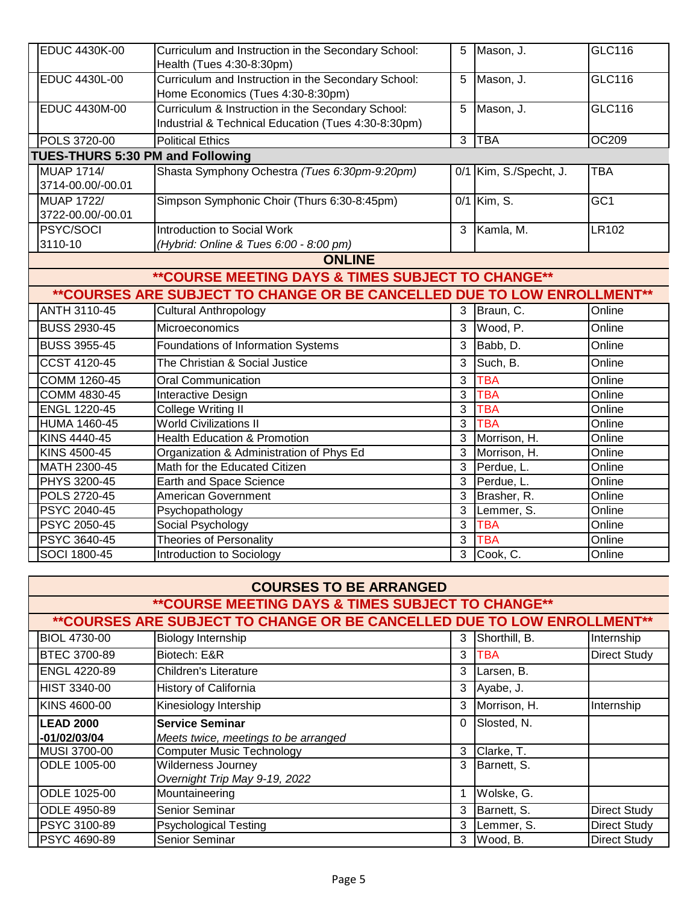| <b>EDUC 4430K-00</b>                    | Curriculum and Instruction in the Secondary School:<br>Health (Tues 4:30-8:30pm)                         | 5 | Mason, J.              | <b>GLC116</b>   |  |
|-----------------------------------------|----------------------------------------------------------------------------------------------------------|---|------------------------|-----------------|--|
| <b>EDUC 4430L-00</b>                    | Curriculum and Instruction in the Secondary School:<br>Home Economics (Tues 4:30-8:30pm)                 | 5 | Mason, J.              | GLC116          |  |
| <b>EDUC 4430M-00</b>                    | Curriculum & Instruction in the Secondary School:<br>Industrial & Technical Education (Tues 4:30-8:30pm) | 5 | Mason, J.              | GLC116          |  |
| <b>POLS 3720-00</b>                     | <b>Political Ethics</b>                                                                                  | 3 | TBA                    | OC209           |  |
| <b>TUES-THURS 5:30 PM and Following</b> |                                                                                                          |   |                        |                 |  |
| <b>IMUAP 1714/</b><br>3714-00.00/-00.01 | Shasta Symphony Ochestra (Tues 6:30pm-9:20pm)                                                            |   | 0/1 Kim, S./Specht, J. | <b>TBA</b>      |  |
| <b>IMUAP 1722/</b><br>3722-00.00/-00.01 | Simpson Symphonic Choir (Thurs 6:30-8:45pm)                                                              |   | 0/1 Kim, S.            | GC <sub>1</sub> |  |
| <b>PSYC/SOCI</b><br>3110-10             | Introduction to Social Work<br>(Hybrid: Online & Tues 6:00 - 8:00 pm)                                    | 3 | Kamla, M.              | LR102           |  |
| $\mathbf{A}$ . The set of $\mathbf{A}$  |                                                                                                          |   |                        |                 |  |

**ONLINE**

## **\*\*COURSE MEETING DAYS & TIMES SUBJECT TO CHANGE\*\***

# **\*\*COURSES ARE SUBJECT TO CHANGE OR BE CANCELLED DUE TO LOW ENROLLMENT\*\***

| <b>ANTH 3110-45</b> | <b>Cultural Anthropology</b>             | 3 | Braun, C.    | Online |
|---------------------|------------------------------------------|---|--------------|--------|
| <b>BUSS 2930-45</b> | Microeconomics                           | 3 | Wood, P.     | Online |
| <b>BUSS 3955-45</b> | Foundations of Information Systems       | 3 | Babb, D.     | Online |
| <b>CCST 4120-45</b> | The Christian & Social Justice           | 3 | Such, B.     | Online |
| COMM 1260-45        | <b>Oral Communication</b>                | 3 | TBA          | Online |
| COMM 4830-45        | Interactive Design                       | 3 | ГВА          | Online |
| <b>ENGL 1220-45</b> | College Writing II                       | 3 | ГВА          | Online |
| <b>HUMA 1460-45</b> | <b>World Civilizations II</b>            | 3 | ГВА          | Online |
| KINS 4440-45        | <b>Health Education &amp; Promotion</b>  | 3 | Morrison, H. | Online |
| KINS 4500-45        | Organization & Administration of Phys Ed | 3 | Morrison, H. | Online |
| MATH 2300-45        | Math for the Educated Citizen            | 3 | Perdue, L.   | Online |
| PHYS 3200-45        | Earth and Space Science                  | 3 | Perdue, L.   | Online |
| POLS 2720-45        | American Government                      | 3 | Brasher, R.  | Online |
| PSYC 2040-45        | Psychopathology                          | 3 | Lemmer, S.   | Online |
| <b>PSYC 2050-45</b> | Social Psychology                        | 3 | TBA          | Online |
| PSYC 3640-45        | <b>Theories of Personality</b>           | 3 | TBA          | Online |
| SOCI 1800-45        | Introduction to Sociology                | 3 | Cook, C.     | Online |

| <b>COURSES TO BE ARRANGED</b> |                                                                         |          |               |                     |
|-------------------------------|-------------------------------------------------------------------------|----------|---------------|---------------------|
|                               | <b>**COURSE MEETING DAYS &amp; TIMES SUBJECT TO CHANGE**</b>            |          |               |                     |
|                               | **COURSES ARE SUBJECT TO CHANGE OR BE CANCELLED DUE TO LOW ENROLLMENT** |          |               |                     |
| <b>BIOL 4730-00</b>           | Biology Internship                                                      | 3        | Shorthill, B. | Internship          |
| <b>BTEC 3700-89</b>           | Biotech: E&R                                                            | 3        | TBA           | <b>Direct Study</b> |
| <b>ENGL 4220-89</b>           | <b>Children's Literature</b>                                            | 3        | Larsen, B.    |                     |
| <b>HIST 3340-00</b>           | <b>History of California</b>                                            | 3        | Ayabe, J.     |                     |
| KINS 4600-00                  | Kinesiology Intership                                                   | 3        | Morrison, H.  | Internship          |
| <b>LEAD 2000</b>              | <b>Service Seminar</b>                                                  | $\Omega$ | Slosted, N.   |                     |
| -01/02/03/04                  | Meets twice, meetings to be arranged                                    |          |               |                     |
| MUSI 3700-00                  | <b>Computer Music Technology</b>                                        | 3        | Clarke, T.    |                     |
| ODLE 1005-00                  | Wilderness Journey                                                      | 3        | Barnett, S.   |                     |
|                               | Overnight Trip May 9-19, 2022                                           |          |               |                     |
| ODLE 1025-00                  | Mountaineering                                                          |          | Wolske, G.    |                     |
| ODLE 4950-89                  | Senior Seminar                                                          |          | Barnett, S.   | <b>Direct Study</b> |
| PSYC 3100-89                  | <b>Psychological Testing</b>                                            | 3        | Lemmer, S.    | <b>Direct Study</b> |
| <b>PSYC 4690-89</b>           | <b>Senior Seminar</b>                                                   | 3        | Wood, B.      | <b>Direct Study</b> |